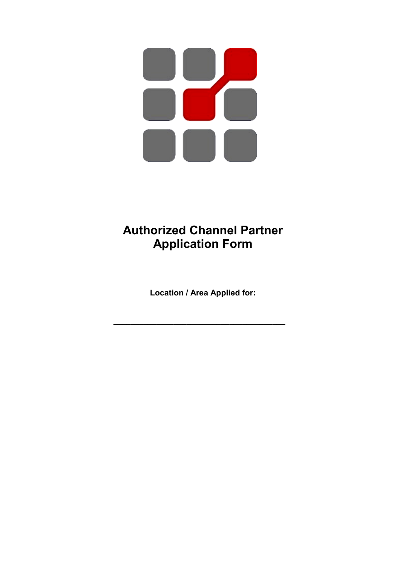# **Authorized Channel Partner Application Form**

**Location / Area Applied for:**

**\_\_\_\_\_\_\_\_\_\_\_\_\_\_\_\_\_\_\_\_\_\_\_\_\_\_\_\_\_\_\_\_\_\_\_\_\_\_\_\_**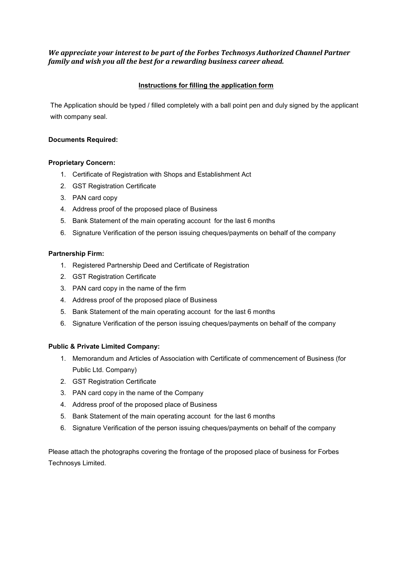### *We appreciate your interest to be part of the Forbes Technosys Authorized Channel Partner family and wish you all the best for a rewarding business career ahead.*

### **Instructions for filling the application form**

The Application should be typed / filled completely with a ball point pen and duly signed by the applicant with company seal.

#### **Documents Required:**

#### **Proprietary Concern:**

- 1. Certificate of Registration with Shops and Establishment Act
- 2. GST Registration Certificate
- 3. PAN card copy
- 4. Address proof of the proposed place of Business
- 5. Bank Statement of the main operating account for the last 6 months
- 6. Signature Verification of the person issuing cheques/payments on behalf of the company

#### **Partnership Firm:**

- 1. Registered Partnership Deed and Certificate of Registration
- 2. GST Registration Certificate
- 3. PAN card copy in the name of the firm
- 4. Address proof of the proposed place of Business
- 5. Bank Statement of the main operating account for the last 6 months
- 6. Signature Verification of the person issuing cheques/payments on behalf of the company

#### **Public & Private Limited Company:**

- 1. Memorandum and Articles of Association with Certificate of commencement of Business (for Public Ltd. Company)
- 2. GST Registration Certificate
- 3. PAN card copy in the name of the Company
- 4. Address proof of the proposed place of Business
- 5. Bank Statement of the main operating account for the last 6 months
- 6. Signature Verification of the person issuing cheques/payments on behalf of the company

Please attach the photographs covering the frontage of the proposed place of business for Forbes Technosys Limited.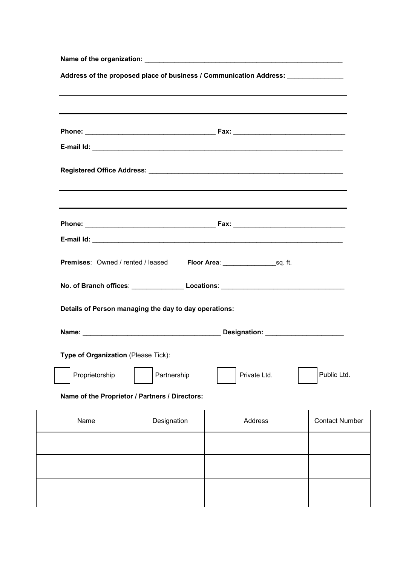|                                                       |             | Address of the proposed place of business / Communication Address: _____________  |                       |
|-------------------------------------------------------|-------------|-----------------------------------------------------------------------------------|-----------------------|
|                                                       |             |                                                                                   |                       |
|                                                       |             |                                                                                   |                       |
|                                                       |             |                                                                                   |                       |
|                                                       |             |                                                                                   |                       |
|                                                       |             |                                                                                   |                       |
|                                                       |             |                                                                                   |                       |
|                                                       |             |                                                                                   |                       |
|                                                       |             | Premises: Owned / rented / leased Floor Area: sq. ft.                             |                       |
|                                                       |             | No. of Branch offices: _____________________Locations: __________________________ |                       |
| Details of Person managing the day to day operations: |             |                                                                                   |                       |
|                                                       |             |                                                                                   |                       |
| Type of Organization (Please Tick):                   |             |                                                                                   |                       |
| Proprietorship                                        | Partnership | Private Ltd.                                                                      | Public Ltd.           |
| Name of the Proprietor / Partners / Directors:        |             |                                                                                   |                       |
| Name                                                  | Designation | Address                                                                           | <b>Contact Number</b> |
|                                                       |             |                                                                                   |                       |
|                                                       |             |                                                                                   |                       |
|                                                       |             |                                                                                   |                       |
|                                                       |             |                                                                                   |                       |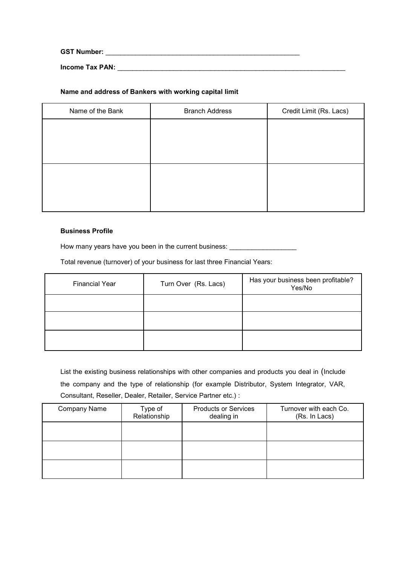**GST Number:** \_\_\_\_\_\_\_\_\_\_\_\_\_\_\_\_\_\_\_\_\_\_\_\_\_\_\_\_\_\_\_\_\_\_\_\_\_\_\_\_\_\_\_\_\_\_\_\_\_\_\_\_

**Income Tax PAN: \_\_\_\_\_\_\_\_\_\_\_\_\_\_\_\_\_\_\_\_** 

#### **Name and address of Bankers with working capital limit**

| Name of the Bank | <b>Branch Address</b> | Credit Limit (Rs. Lacs) |
|------------------|-----------------------|-------------------------|
|                  |                       |                         |
|                  |                       |                         |
|                  |                       |                         |
|                  |                       |                         |
|                  |                       |                         |
|                  |                       |                         |

#### **Business Profile**

How many years have you been in the current business: \_\_\_\_\_\_\_\_\_\_\_\_\_\_\_\_\_\_\_\_\_\_\_\_\_\_

Total revenue (turnover) of your business for last three Financial Years:

| <b>Financial Year</b> | Turn Over (Rs. Lacs) | Has your business been profitable?<br>Yes/No |
|-----------------------|----------------------|----------------------------------------------|
|                       |                      |                                              |
|                       |                      |                                              |
|                       |                      |                                              |

List the existing business relationships with other companies and products you deal in (Include the company and the type of relationship (for example Distributor, System Integrator, VAR, Consultant, Reseller, Dealer, Retailer, Service Partner etc.) :

| <b>Company Name</b> | Type of<br>Relationship | <b>Products or Services</b><br>dealing in | Turnover with each Co.<br>(Rs. In Lacs) |
|---------------------|-------------------------|-------------------------------------------|-----------------------------------------|
|                     |                         |                                           |                                         |
|                     |                         |                                           |                                         |
|                     |                         |                                           |                                         |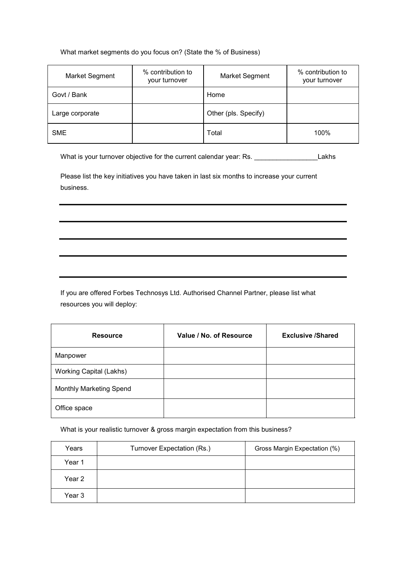What market segments do you focus on? (State the % of Business)

| Market Segment  | % contribution to<br>your turnover | <b>Market Segment</b> | % contribution to<br>your turnover |
|-----------------|------------------------------------|-----------------------|------------------------------------|
| Govt / Bank     |                                    | Home                  |                                    |
| Large corporate |                                    | Other (pls. Specify)  |                                    |
| <b>SME</b>      |                                    | Total                 | 100%                               |

What is your turnover objective for the current calendar year: Rs. \_\_\_\_\_\_\_\_\_\_\_\_\_\_\_\_\_\_\_\_\_Lakhs

Please list the key initiatives you have taken in last six months to increase your current business.

If you are offered Forbes Technosys Ltd. Authorised Channel Partner, please list what resources you will deploy:

| <b>Resource</b>                | Value / No. of Resource | <b>Exclusive /Shared</b> |
|--------------------------------|-------------------------|--------------------------|
| Manpower                       |                         |                          |
| <b>Working Capital (Lakhs)</b> |                         |                          |
| <b>Monthly Marketing Spend</b> |                         |                          |
| Office space                   |                         |                          |

What is your realistic turnover & gross margin expectation from this business?

| Years  | Turnover Expectation (Rs.) | Gross Margin Expectation (%) |
|--------|----------------------------|------------------------------|
| Year 1 |                            |                              |
| Year 2 |                            |                              |
| Year 3 |                            |                              |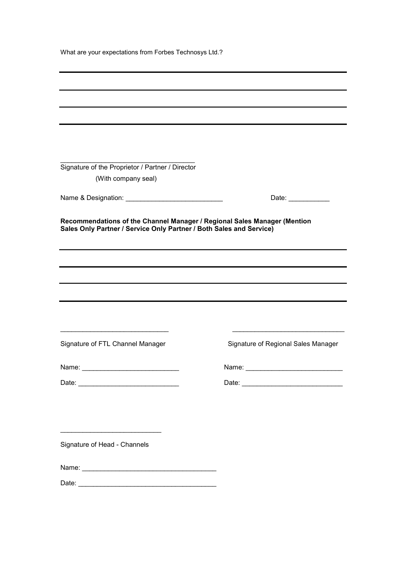| What are your expectations from Forbes Technosys Ltd.?                                                                                                                                                                                                                                               |
|------------------------------------------------------------------------------------------------------------------------------------------------------------------------------------------------------------------------------------------------------------------------------------------------------|
|                                                                                                                                                                                                                                                                                                      |
|                                                                                                                                                                                                                                                                                                      |
|                                                                                                                                                                                                                                                                                                      |
|                                                                                                                                                                                                                                                                                                      |
|                                                                                                                                                                                                                                                                                                      |
|                                                                                                                                                                                                                                                                                                      |
|                                                                                                                                                                                                                                                                                                      |
|                                                                                                                                                                                                                                                                                                      |
|                                                                                                                                                                                                                                                                                                      |
| Date:                                                                                                                                                                                                                                                                                                |
| Sales Only Partner / Service Only Partner / Both Sales and Service)<br>the control of the control of the control of the control of the control of the control of the control of the control of the control of the control of the control of the control of the control of the control of the control |
|                                                                                                                                                                                                                                                                                                      |
|                                                                                                                                                                                                                                                                                                      |
|                                                                                                                                                                                                                                                                                                      |
|                                                                                                                                                                                                                                                                                                      |
|                                                                                                                                                                                                                                                                                                      |
| <u> 1990 - Johann John Stone, mars et al. 1990 - 1991 - 1992 - 1993 - 1994 - 1994 - 1994 - 1994 - 1994 - 1994 - 1</u>                                                                                                                                                                                |
| Signature of Regional Sales Manager                                                                                                                                                                                                                                                                  |
|                                                                                                                                                                                                                                                                                                      |
|                                                                                                                                                                                                                                                                                                      |
|                                                                                                                                                                                                                                                                                                      |
|                                                                                                                                                                                                                                                                                                      |
|                                                                                                                                                                                                                                                                                                      |
|                                                                                                                                                                                                                                                                                                      |
|                                                                                                                                                                                                                                                                                                      |
| Name: 2008 - 2008 - 2008 - 2008 - 2008 - 2008 - 2008 - 2008 - 2008 - 2008 - 2008 - 2008 - 2008 - 2008 - 2008 - 2008 - 2008 - 2008 - 2008 - 2008 - 2008 - 2008 - 2008 - 2008 - 2008 - 2008 - 2008 - 2008 - 2008 - 2008 - 2008 -                                                                       |
| Signature of the Proprietor / Partner / Director<br>Recommendations of the Channel Manager / Regional Sales Manager (Mention                                                                                                                                                                         |